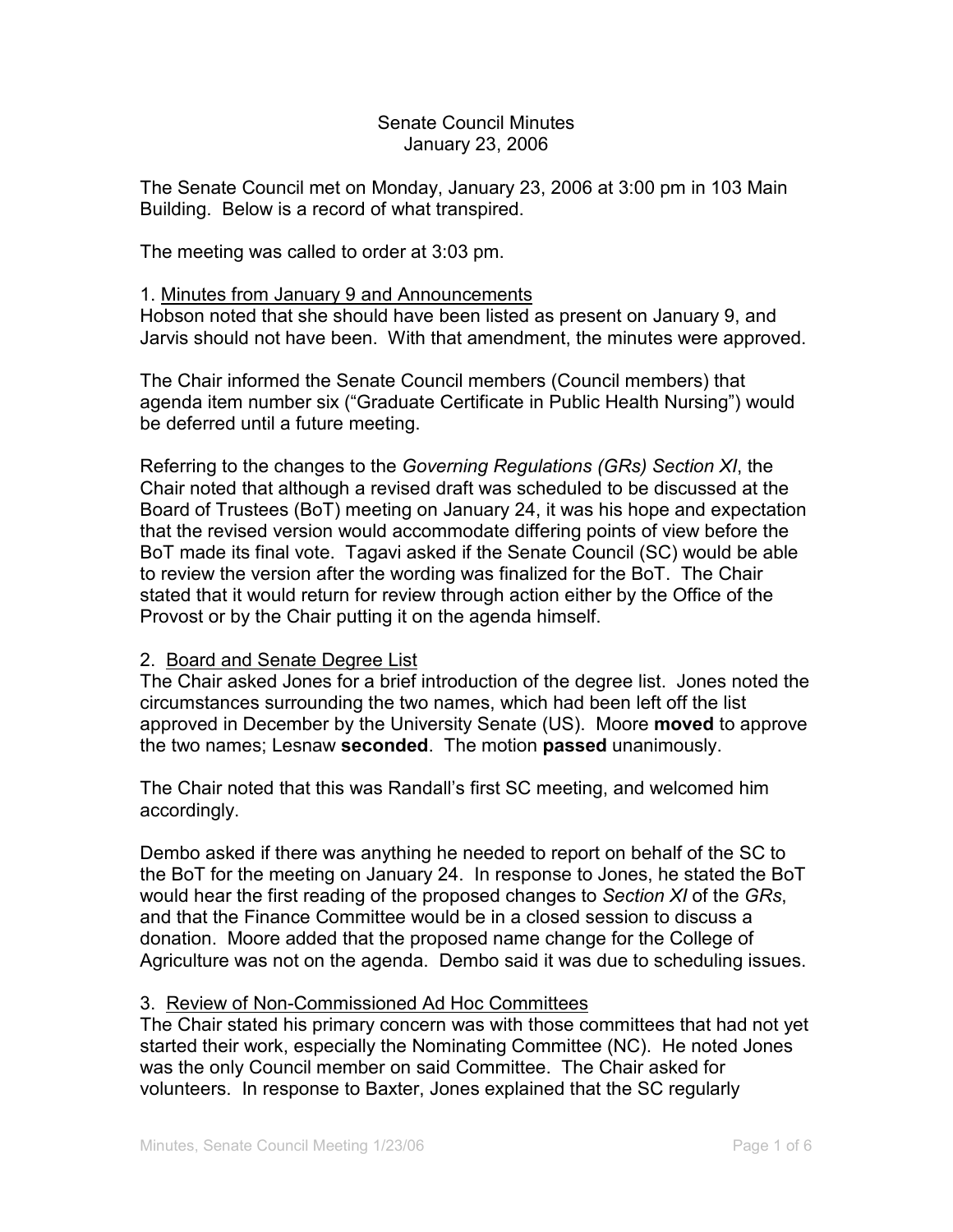## Senate Council Minutes January 23, 2006

The Senate Council met on Monday, January 23, 2006 at 3:00 pm in 103 Main Building. Below is a record of what transpired.

The meeting was called to order at 3:03 pm.

## 1. Minutes from January 9 and Announcements

Hobson noted that she should have been listed as present on January 9, and Jarvis should not have been. With that amendment, the minutes were approved.

The Chair informed the Senate Council members (Council members) that agenda item number six ("Graduate Certificate in Public Health Nursing") would be deferred until a future meeting.

Referring to the changes to the *Governing Regulations (GRs) Section XI*, the Chair noted that although a revised draft was scheduled to be discussed at the Board of Trustees (BoT) meeting on January 24, it was his hope and expectation that the revised version would accommodate differing points of view before the BoT made its final vote. Tagavi asked if the Senate Council (SC) would be able to review the version after the wording was finalized for the BoT. The Chair stated that it would return for review through action either by the Office of the Provost or by the Chair putting it on the agenda himself.

## 2. Board and Senate Degree List

The Chair asked Jones for a brief introduction of the degree list. Jones noted the circumstances surrounding the two names, which had been left off the list approved in December by the University Senate (US). Moore **moved** to approve the two names; Lesnaw **seconded**. The motion **passed** unanimously.

The Chair noted that this was Randall's first SC meeting, and welcomed him accordingly.

Dembo asked if there was anything he needed to report on behalf of the SC to the BoT for the meeting on January 24. In response to Jones, he stated the BoT would hear the first reading of the proposed changes to *Section XI* of the *GRs*, and that the Finance Committee would be in a closed session to discuss a donation. Moore added that the proposed name change for the College of Agriculture was not on the agenda. Dembo said it was due to scheduling issues.

## 3. Review of Non-Commissioned Ad Hoc Committees

The Chair stated his primary concern was with those committees that had not yet started their work, especially the Nominating Committee (NC). He noted Jones was the only Council member on said Committee. The Chair asked for volunteers. In response to Baxter, Jones explained that the SC regularly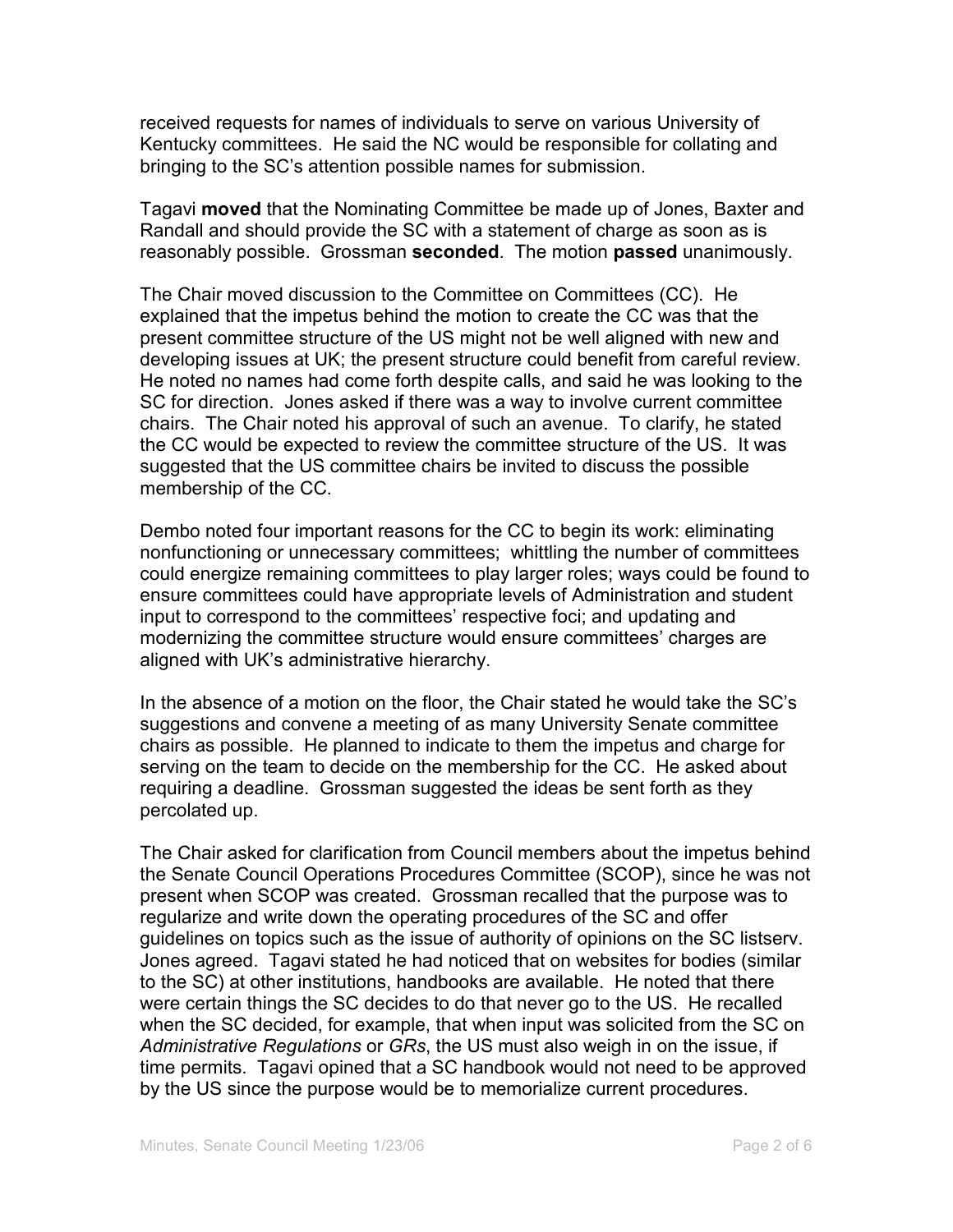received requests for names of individuals to serve on various University of Kentucky committees. He said the NC would be responsible for collating and bringing to the SC's attention possible names for submission.

Tagavi **moved** that the Nominating Committee be made up of Jones, Baxter and Randall and should provide the SC with a statement of charge as soon as is reasonably possible. Grossman **seconded**. The motion **passed** unanimously.

The Chair moved discussion to the Committee on Committees (CC). He explained that the impetus behind the motion to create the CC was that the present committee structure of the US might not be well aligned with new and developing issues at UK; the present structure could benefit from careful review. He noted no names had come forth despite calls, and said he was looking to the SC for direction. Jones asked if there was a way to involve current committee chairs. The Chair noted his approval of such an avenue. To clarify, he stated the CC would be expected to review the committee structure of the US. It was suggested that the US committee chairs be invited to discuss the possible membership of the CC.

Dembo noted four important reasons for the CC to begin its work: eliminating nonfunctioning or unnecessary committees; whittling the number of committees could energize remaining committees to play larger roles; ways could be found to ensure committees could have appropriate levels of Administration and student input to correspond to the committees' respective foci; and updating and modernizing the committee structure would ensure committees' charges are aligned with UK's administrative hierarchy.

In the absence of a motion on the floor, the Chair stated he would take the SC's suggestions and convene a meeting of as many University Senate committee chairs as possible. He planned to indicate to them the impetus and charge for serving on the team to decide on the membership for the CC. He asked about requiring a deadline. Grossman suggested the ideas be sent forth as they percolated up.

The Chair asked for clarification from Council members about the impetus behind the Senate Council Operations Procedures Committee (SCOP), since he was not present when SCOP was created. Grossman recalled that the purpose was to regularize and write down the operating procedures of the SC and offer guidelines on topics such as the issue of authority of opinions on the SC listserv. Jones agreed. Tagavi stated he had noticed that on websites for bodies (similar to the SC) at other institutions, handbooks are available. He noted that there were certain things the SC decides to do that never go to the US. He recalled when the SC decided, for example, that when input was solicited from the SC on *Administrative Regulations* or *GRs*, the US must also weigh in on the issue, if time permits. Tagavi opined that a SC handbook would not need to be approved by the US since the purpose would be to memorialize current procedures.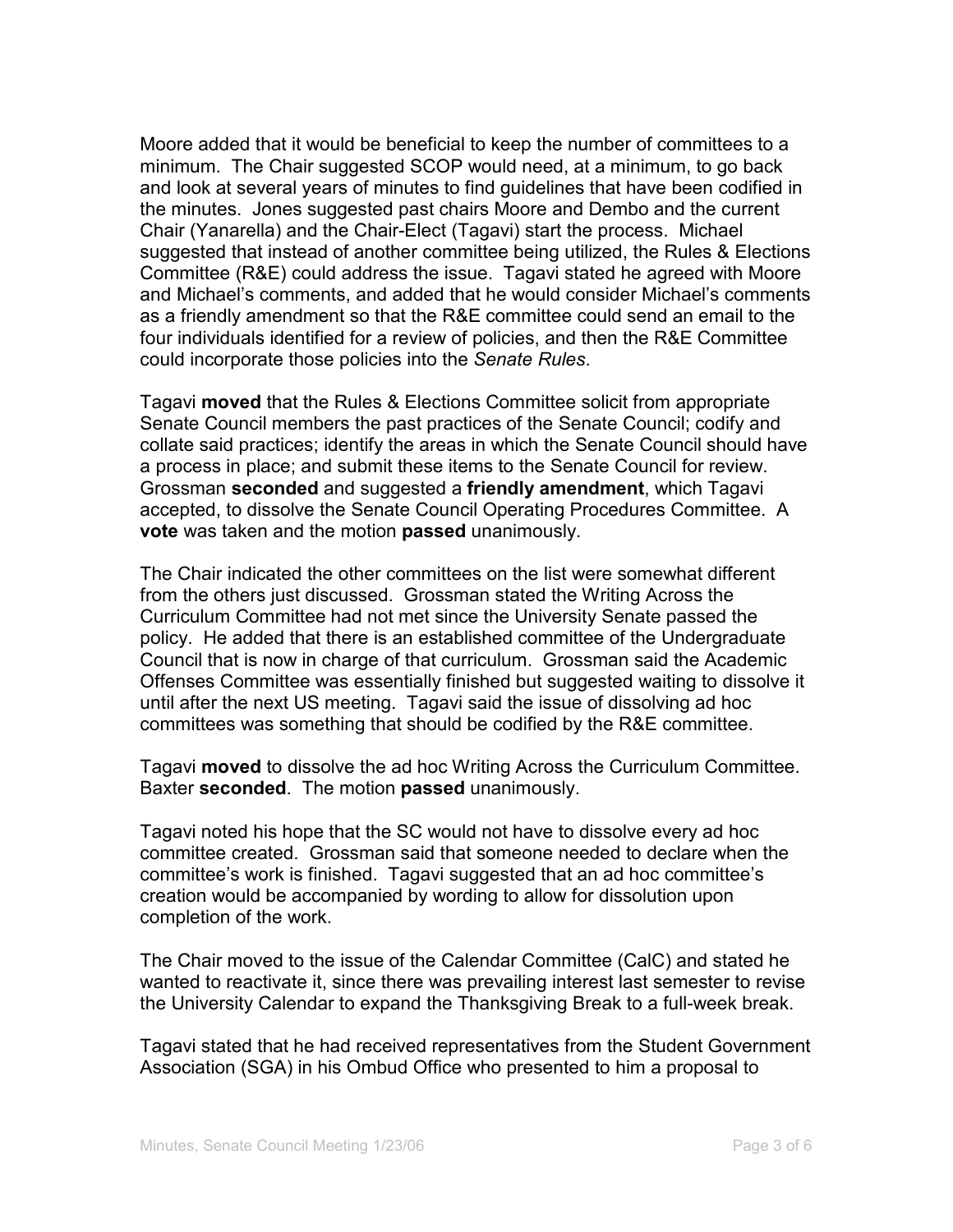Moore added that it would be beneficial to keep the number of committees to a minimum. The Chair suggested SCOP would need, at a minimum, to go back and look at several years of minutes to find guidelines that have been codified in the minutes. Jones suggested past chairs Moore and Dembo and the current Chair (Yanarella) and the Chair-Elect (Tagavi) start the process. Michael suggested that instead of another committee being utilized, the Rules & Elections Committee (R&E) could address the issue. Tagavi stated he agreed with Moore and Michael's comments, and added that he would consider Michael's comments as a friendly amendment so that the R&E committee could send an email to the four individuals identified for a review of policies, and then the R&E Committee could incorporate those policies into the *Senate Rules*.

Tagavi **moved** that the Rules & Elections Committee solicit from appropriate Senate Council members the past practices of the Senate Council; codify and collate said practices; identify the areas in which the Senate Council should have a process in place; and submit these items to the Senate Council for review. Grossman **seconded** and suggested a **friendly amendment**, which Tagavi accepted, to dissolve the Senate Council Operating Procedures Committee. A **vote** was taken and the motion **passed** unanimously.

The Chair indicated the other committees on the list were somewhat different from the others just discussed. Grossman stated the Writing Across the Curriculum Committee had not met since the University Senate passed the policy. He added that there is an established committee of the Undergraduate Council that is now in charge of that curriculum. Grossman said the Academic Offenses Committee was essentially finished but suggested waiting to dissolve it until after the next US meeting. Tagavi said the issue of dissolving ad hoc committees was something that should be codified by the R&E committee.

Tagavi **moved** to dissolve the ad hoc Writing Across the Curriculum Committee. Baxter **seconded**. The motion **passed** unanimously.

Tagavi noted his hope that the SC would not have to dissolve every ad hoc committee created. Grossman said that someone needed to declare when the committee's work is finished. Tagavi suggested that an ad hoc committee's creation would be accompanied by wording to allow for dissolution upon completion of the work.

The Chair moved to the issue of the Calendar Committee (CalC) and stated he wanted to reactivate it, since there was prevailing interest last semester to revise the University Calendar to expand the Thanksgiving Break to a full-week break.

Tagavi stated that he had received representatives from the Student Government Association (SGA) in his Ombud Office who presented to him a proposal to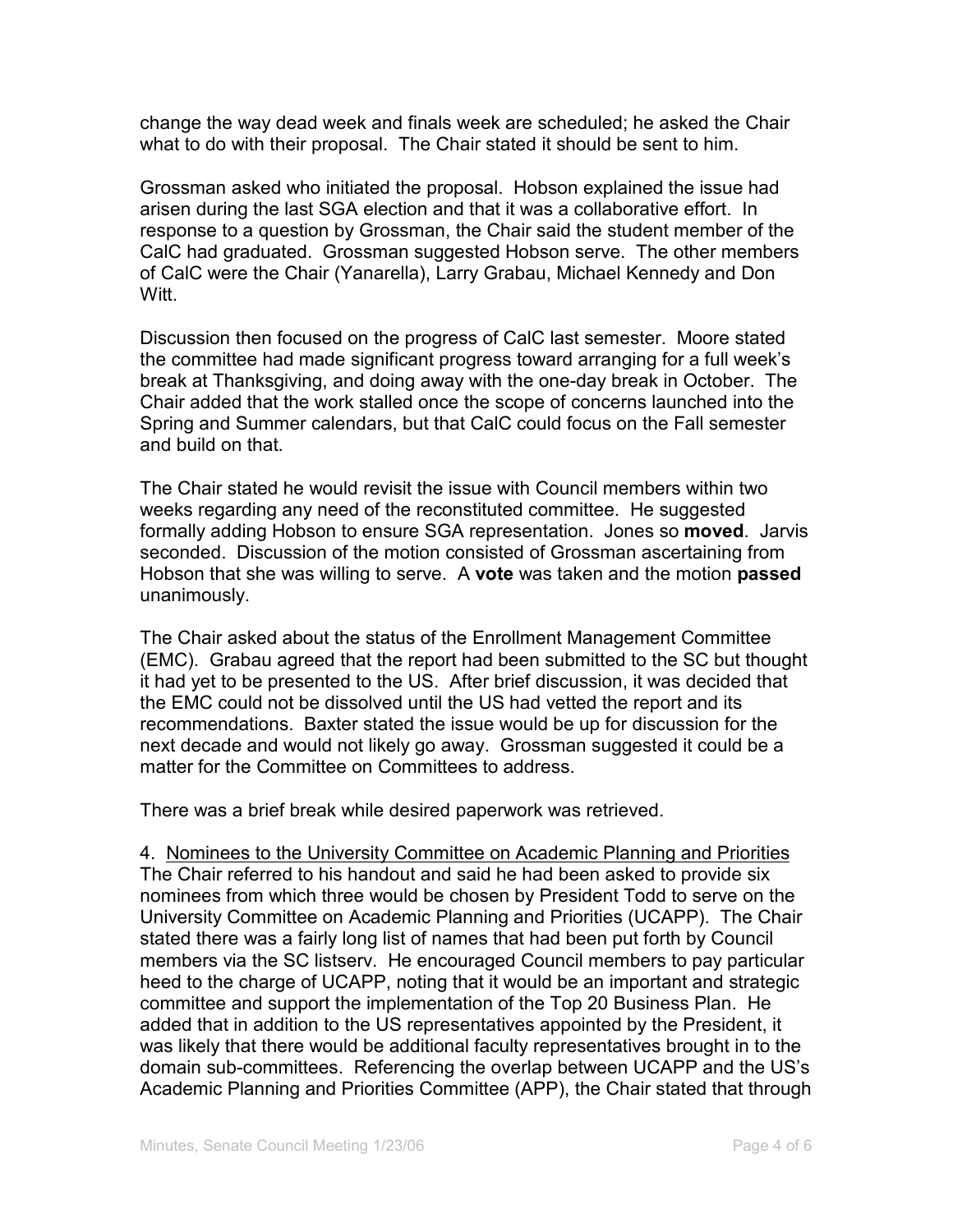change the way dead week and finals week are scheduled; he asked the Chair what to do with their proposal. The Chair stated it should be sent to him.

Grossman asked who initiated the proposal. Hobson explained the issue had arisen during the last SGA election and that it was a collaborative effort. In response to a question by Grossman, the Chair said the student member of the CalC had graduated. Grossman suggested Hobson serve. The other members of CalC were the Chair (Yanarella), Larry Grabau, Michael Kennedy and Don Witt.

Discussion then focused on the progress of CalC last semester. Moore stated the committee had made significant progress toward arranging for a full week's break at Thanksgiving, and doing away with the one-day break in October. The Chair added that the work stalled once the scope of concerns launched into the Spring and Summer calendars, but that CalC could focus on the Fall semester and build on that.

The Chair stated he would revisit the issue with Council members within two weeks regarding any need of the reconstituted committee. He suggested formally adding Hobson to ensure SGA representation. Jones so **moved**. Jarvis seconded. Discussion of the motion consisted of Grossman ascertaining from Hobson that she was willing to serve. A **vote** was taken and the motion **passed** unanimously.

The Chair asked about the status of the Enrollment Management Committee (EMC). Grabau agreed that the report had been submitted to the SC but thought it had yet to be presented to the US. After brief discussion, it was decided that the EMC could not be dissolved until the US had vetted the report and its recommendations. Baxter stated the issue would be up for discussion for the next decade and would not likely go away. Grossman suggested it could be a matter for the Committee on Committees to address.

There was a brief break while desired paperwork was retrieved.

4. Nominees to the University Committee on Academic Planning and Priorities The Chair referred to his handout and said he had been asked to provide six nominees from which three would be chosen by President Todd to serve on the University Committee on Academic Planning and Priorities (UCAPP). The Chair stated there was a fairly long list of names that had been put forth by Council members via the SC listserv. He encouraged Council members to pay particular heed to the charge of UCAPP, noting that it would be an important and strategic committee and support the implementation of the Top 20 Business Plan. He added that in addition to the US representatives appointed by the President, it was likely that there would be additional faculty representatives brought in to the domain sub-committees. Referencing the overlap between UCAPP and the US's Academic Planning and Priorities Committee (APP), the Chair stated that through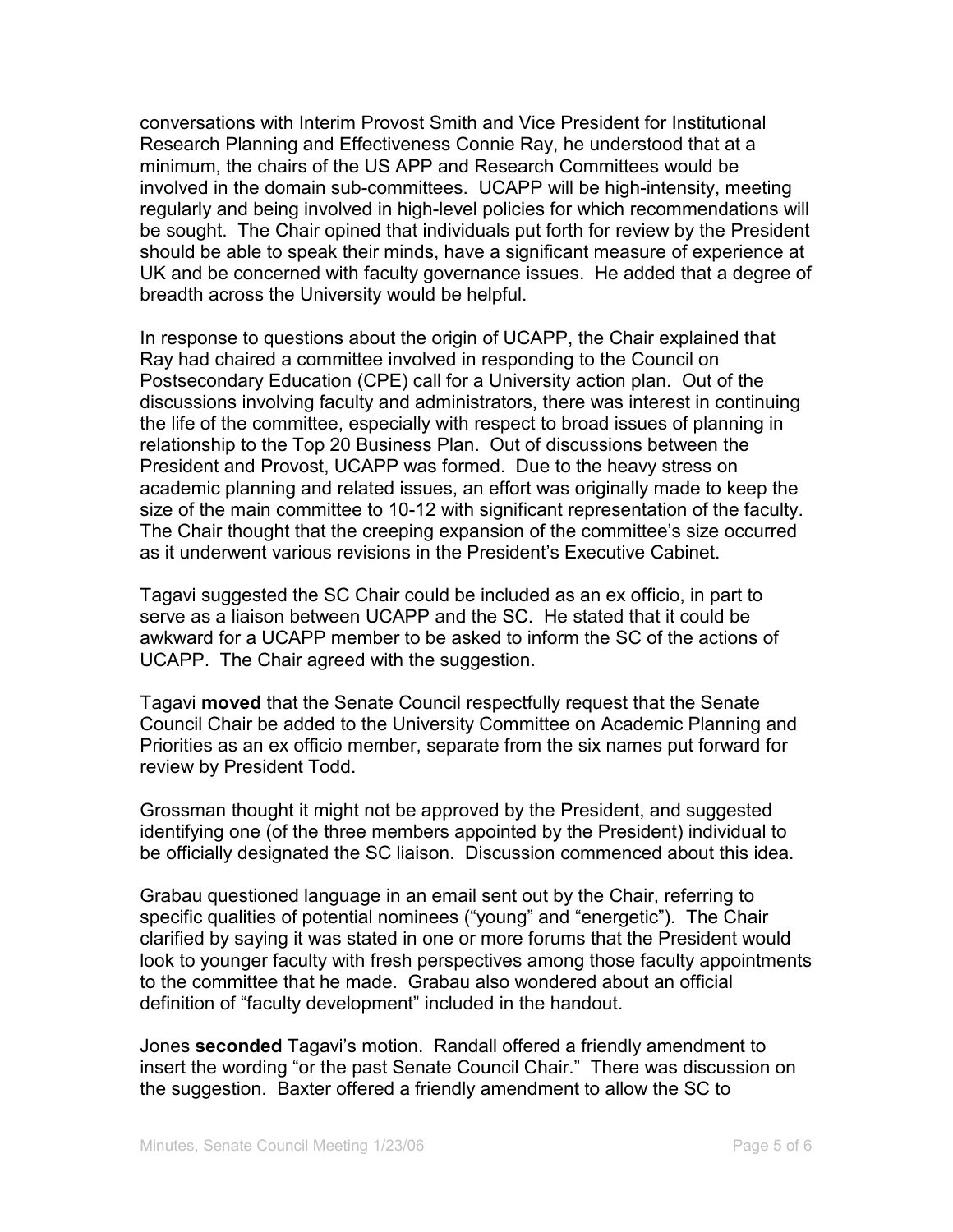conversations with Interim Provost Smith and Vice President for Institutional Research Planning and Effectiveness Connie Ray, he understood that at a minimum, the chairs of the US APP and Research Committees would be involved in the domain sub-committees. UCAPP will be high-intensity, meeting regularly and being involved in high-level policies for which recommendations will be sought. The Chair opined that individuals put forth for review by the President should be able to speak their minds, have a significant measure of experience at UK and be concerned with faculty governance issues. He added that a degree of breadth across the University would be helpful.

In response to questions about the origin of UCAPP, the Chair explained that Ray had chaired a committee involved in responding to the Council on Postsecondary Education (CPE) call for a University action plan. Out of the discussions involving faculty and administrators, there was interest in continuing the life of the committee, especially with respect to broad issues of planning in relationship to the Top 20 Business Plan. Out of discussions between the President and Provost, UCAPP was formed. Due to the heavy stress on academic planning and related issues, an effort was originally made to keep the size of the main committee to 10-12 with significant representation of the faculty. The Chair thought that the creeping expansion of the committee's size occurred as it underwent various revisions in the President's Executive Cabinet.

Tagavi suggested the SC Chair could be included as an ex officio, in part to serve as a liaison between UCAPP and the SC. He stated that it could be awkward for a UCAPP member to be asked to inform the SC of the actions of UCAPP. The Chair agreed with the suggestion.

Tagavi **moved** that the Senate Council respectfully request that the Senate Council Chair be added to the University Committee on Academic Planning and Priorities as an ex officio member, separate from the six names put forward for review by President Todd.

Grossman thought it might not be approved by the President, and suggested identifying one (of the three members appointed by the President) individual to be officially designated the SC liaison. Discussion commenced about this idea.

Grabau questioned language in an email sent out by the Chair, referring to specific qualities of potential nominees ("young" and "energetic"). The Chair clarified by saying it was stated in one or more forums that the President would look to younger faculty with fresh perspectives among those faculty appointments to the committee that he made. Grabau also wondered about an official definition of "faculty development" included in the handout.

Jones **seconded** Tagavi's motion. Randall offered a friendly amendment to insert the wording "or the past Senate Council Chair." There was discussion on the suggestion. Baxter offered a friendly amendment to allow the SC to